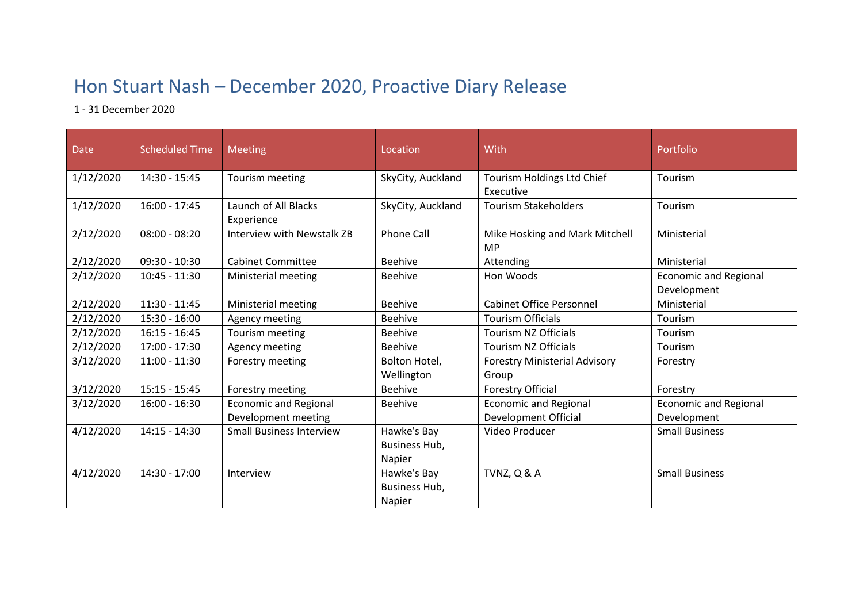## Hon Stuart Nash – December 2020, Proactive Diary Release

1 - 31 December 2020

| <b>Date</b> | <b>Scheduled Time</b> | <b>Meeting</b>                                      | Location                                      | With                                                 | Portfolio                                   |
|-------------|-----------------------|-----------------------------------------------------|-----------------------------------------------|------------------------------------------------------|---------------------------------------------|
| 1/12/2020   | 14:30 - 15:45         | Tourism meeting                                     | SkyCity, Auckland                             | Tourism Holdings Ltd Chief<br>Executive              | Tourism                                     |
| 1/12/2020   | $16:00 - 17:45$       | Launch of All Blacks<br>Experience                  | SkyCity, Auckland                             | <b>Tourism Stakeholders</b>                          | Tourism                                     |
| 2/12/2020   | $08:00 - 08:20$       | <b>Interview with Newstalk ZB</b>                   | <b>Phone Call</b>                             | Mike Hosking and Mark Mitchell<br><b>MP</b>          | Ministerial                                 |
| 2/12/2020   | $09:30 - 10:30$       | <b>Cabinet Committee</b>                            | <b>Beehive</b>                                | Attending                                            | Ministerial                                 |
| 2/12/2020   | $10:45 - 11:30$       | Ministerial meeting                                 | <b>Beehive</b>                                | Hon Woods                                            | <b>Economic and Regional</b><br>Development |
| 2/12/2020   | $11:30 - 11:45$       | Ministerial meeting                                 | <b>Beehive</b>                                | <b>Cabinet Office Personnel</b>                      | Ministerial                                 |
| 2/12/2020   | $15:30 - 16:00$       | Agency meeting                                      | <b>Beehive</b>                                | <b>Tourism Officials</b>                             | Tourism                                     |
| 2/12/2020   | $16:15 - 16:45$       | Tourism meeting                                     | <b>Beehive</b>                                | <b>Tourism NZ Officials</b>                          | Tourism                                     |
| 2/12/2020   | 17:00 - 17:30         | Agency meeting                                      | <b>Beehive</b>                                | <b>Tourism NZ Officials</b>                          | Tourism                                     |
| 3/12/2020   | $11:00 - 11:30$       | Forestry meeting                                    | Bolton Hotel,<br>Wellington                   | <b>Forestry Ministerial Advisory</b><br>Group        | Forestry                                    |
| 3/12/2020   | $15:15 - 15:45$       | Forestry meeting                                    | <b>Beehive</b>                                | Forestry Official                                    | Forestry                                    |
| 3/12/2020   | $16:00 - 16:30$       | <b>Economic and Regional</b><br>Development meeting | Beehive                                       | <b>Economic and Regional</b><br>Development Official | <b>Economic and Regional</b><br>Development |
| 4/12/2020   | $14:15 - 14:30$       | <b>Small Business Interview</b>                     | Hawke's Bay<br>Business Hub,<br><b>Napier</b> | Video Producer                                       | <b>Small Business</b>                       |
| 4/12/2020   | $14:30 - 17:00$       | Interview                                           | Hawke's Bay<br>Business Hub,<br>Napier        | TVNZ, Q & A                                          | <b>Small Business</b>                       |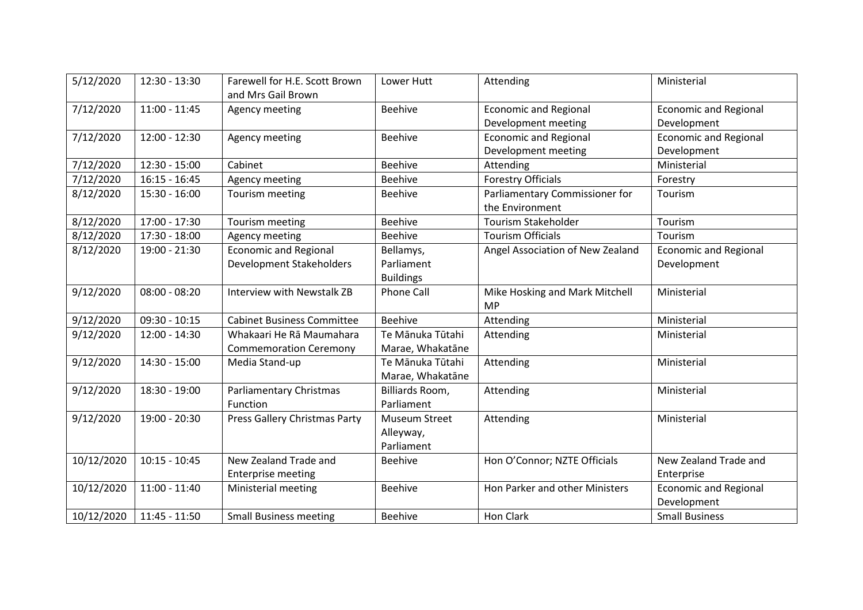| 5/12/2020  | $12:30 - 13:30$ | Farewell for H.E. Scott Brown     | Lower Hutt       | Attending                        | Ministerial                  |
|------------|-----------------|-----------------------------------|------------------|----------------------------------|------------------------------|
|            |                 | and Mrs Gail Brown                |                  |                                  |                              |
| 7/12/2020  | $11:00 - 11:45$ | Agency meeting                    | <b>Beehive</b>   | <b>Economic and Regional</b>     | <b>Economic and Regional</b> |
|            |                 |                                   |                  | Development meeting              | Development                  |
| 7/12/2020  | $12:00 - 12:30$ | Agency meeting                    | <b>Beehive</b>   | <b>Economic and Regional</b>     | <b>Economic and Regional</b> |
|            |                 |                                   |                  | Development meeting              | Development                  |
| 7/12/2020  | $12:30 - 15:00$ | Cabinet                           | <b>Beehive</b>   | Attending                        | Ministerial                  |
| 7/12/2020  | $16:15 - 16:45$ | Agency meeting                    | <b>Beehive</b>   | <b>Forestry Officials</b>        | Forestry                     |
| 8/12/2020  | $15:30 - 16:00$ | Tourism meeting                   | <b>Beehive</b>   | Parliamentary Commissioner for   | Tourism                      |
|            |                 |                                   |                  | the Environment                  |                              |
| 8/12/2020  | 17:00 - 17:30   | Tourism meeting                   | <b>Beehive</b>   | <b>Tourism Stakeholder</b>       | Tourism                      |
| 8/12/2020  | 17:30 - 18:00   | Agency meeting                    | <b>Beehive</b>   | <b>Tourism Officials</b>         | Tourism                      |
| 8/12/2020  | 19:00 - 21:30   | <b>Economic and Regional</b>      | Bellamys,        | Angel Association of New Zealand | <b>Economic and Regional</b> |
|            |                 | <b>Development Stakeholders</b>   | Parliament       |                                  | Development                  |
|            |                 |                                   | <b>Buildings</b> |                                  |                              |
| 9/12/2020  | $08:00 - 08:20$ | Interview with Newstalk ZB        | Phone Call       | Mike Hosking and Mark Mitchell   | Ministerial                  |
|            |                 |                                   |                  | <b>MP</b>                        |                              |
| 9/12/2020  | $09:30 - 10:15$ | <b>Cabinet Business Committee</b> | <b>Beehive</b>   | Attending                        | Ministerial                  |
| 9/12/2020  | $12:00 - 14:30$ | Whakaari He Rā Maumahara          | Te Mānuka Tūtahi | Attending                        | Ministerial                  |
|            |                 | <b>Commemoration Ceremony</b>     | Marae, Whakatāne |                                  |                              |
| 9/12/2020  | 14:30 - 15:00   | Media Stand-up                    | Te Mānuka Tūtahi | Attending                        | Ministerial                  |
|            |                 |                                   | Marae, Whakatāne |                                  |                              |
| 9/12/2020  | 18:30 - 19:00   | <b>Parliamentary Christmas</b>    | Billiards Room,  | Attending                        | Ministerial                  |
|            |                 | Function                          | Parliament       |                                  |                              |
| 9/12/2020  | 19:00 - 20:30   | Press Gallery Christmas Party     | Museum Street    | Attending                        | Ministerial                  |
|            |                 |                                   | Alleyway,        |                                  |                              |
|            |                 |                                   | Parliament       |                                  |                              |
| 10/12/2020 | $10:15 - 10:45$ | New Zealand Trade and             | <b>Beehive</b>   | Hon O'Connor; NZTE Officials     | New Zealand Trade and        |
|            |                 | <b>Enterprise meeting</b>         |                  |                                  | Enterprise                   |
| 10/12/2020 | $11:00 - 11:40$ | Ministerial meeting               | <b>Beehive</b>   | Hon Parker and other Ministers   | <b>Economic and Regional</b> |
|            |                 |                                   |                  |                                  | Development                  |
| 10/12/2020 | $11:45 - 11:50$ | <b>Small Business meeting</b>     | <b>Beehive</b>   | Hon Clark                        | <b>Small Business</b>        |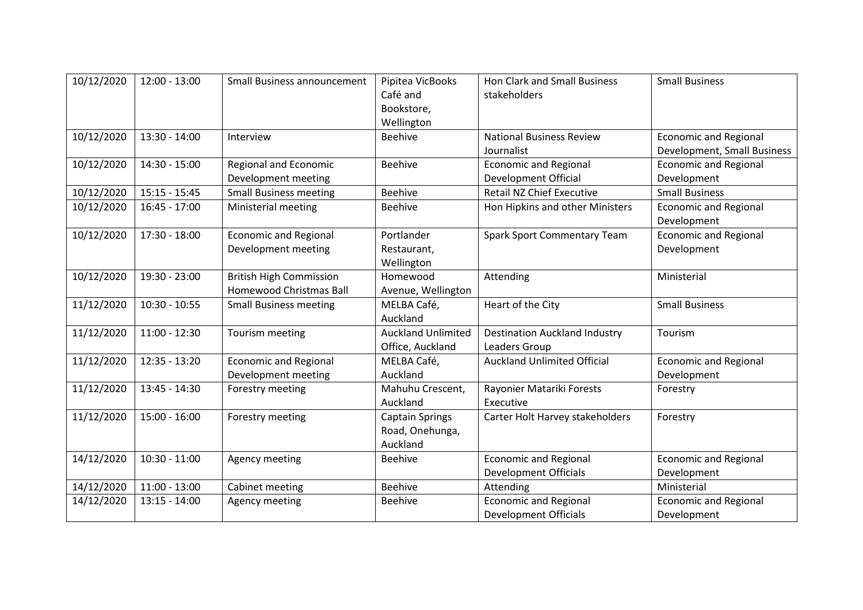| 10/12/2020 | $12:00 - 13:00$ | Small Business announcement                                      | Pipitea VicBooks<br>Café and<br>Bookstore,            | Hon Clark and Small Business<br>stakeholders                 | <b>Small Business</b>                                       |
|------------|-----------------|------------------------------------------------------------------|-------------------------------------------------------|--------------------------------------------------------------|-------------------------------------------------------------|
| 10/12/2020 | $13:30 - 14:00$ | Interview                                                        | Wellington<br><b>Beehive</b>                          | <b>National Business Review</b><br>Journalist                | <b>Economic and Regional</b><br>Development, Small Business |
| 10/12/2020 | $14:30 - 15:00$ | Regional and Economic<br>Development meeting                     | <b>Beehive</b>                                        | <b>Economic and Regional</b><br><b>Development Official</b>  | <b>Economic and Regional</b><br>Development                 |
| 10/12/2020 | $15:15 - 15:45$ | <b>Small Business meeting</b>                                    | <b>Beehive</b>                                        | <b>Retail NZ Chief Executive</b>                             | <b>Small Business</b>                                       |
| 10/12/2020 | $16:45 - 17:00$ | Ministerial meeting                                              | <b>Beehive</b>                                        | Hon Hipkins and other Ministers                              | <b>Economic and Regional</b><br>Development                 |
| 10/12/2020 | 17:30 - 18:00   | <b>Economic and Regional</b><br>Development meeting              | Portlander<br>Restaurant,<br>Wellington               | <b>Spark Sport Commentary Team</b>                           | <b>Economic and Regional</b><br>Development                 |
| 10/12/2020 | 19:30 - 23:00   | <b>British High Commission</b><br><b>Homewood Christmas Ball</b> | Homewood<br>Avenue, Wellington                        | Attending                                                    | Ministerial                                                 |
| 11/12/2020 | $10:30 - 10:55$ | <b>Small Business meeting</b>                                    | MELBA Café,<br>Auckland                               | Heart of the City                                            | <b>Small Business</b>                                       |
| 11/12/2020 | $11:00 - 12:30$ | Tourism meeting                                                  | <b>Auckland Unlimited</b><br>Office, Auckland         | <b>Destination Auckland Industry</b><br>Leaders Group        | Tourism                                                     |
| 11/12/2020 | 12:35 - 13:20   | <b>Economic and Regional</b><br>Development meeting              | MELBA Café,<br>Auckland                               | <b>Auckland Unlimited Official</b>                           | <b>Economic and Regional</b><br>Development                 |
| 11/12/2020 | 13:45 - 14:30   | Forestry meeting                                                 | Mahuhu Crescent,<br>Auckland                          | Rayonier Matariki Forests<br>Executive                       | Forestry                                                    |
| 11/12/2020 | $15:00 - 16:00$ | Forestry meeting                                                 | <b>Captain Springs</b><br>Road, Onehunga,<br>Auckland | Carter Holt Harvey stakeholders                              | Forestry                                                    |
| 14/12/2020 | $10:30 - 11:00$ | Agency meeting                                                   | <b>Beehive</b>                                        | <b>Economic and Regional</b><br><b>Development Officials</b> | <b>Economic and Regional</b><br>Development                 |
| 14/12/2020 | $11:00 - 13:00$ | Cabinet meeting                                                  | <b>Beehive</b>                                        | Attending                                                    | Ministerial                                                 |
| 14/12/2020 | $13:15 - 14:00$ | Agency meeting                                                   | <b>Beehive</b>                                        | <b>Economic and Regional</b><br><b>Development Officials</b> | <b>Economic and Regional</b><br>Development                 |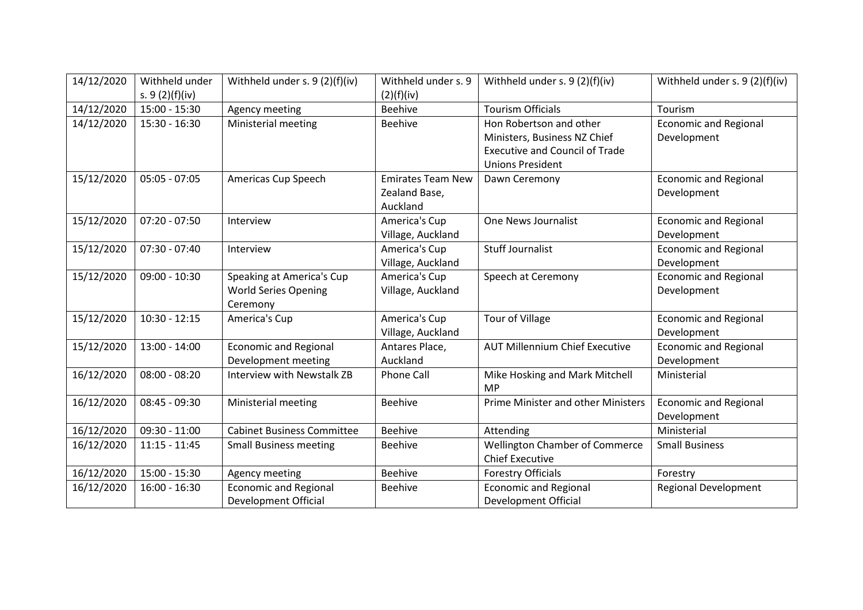| 14/12/2020 | Withheld under   | Withheld under s. 9 (2)(f)(iv)    | Withheld under s. 9      | Withheld under s. 9 (2)(f)(iv)            | Withheld under s. 9 (2)(f)(iv) |
|------------|------------------|-----------------------------------|--------------------------|-------------------------------------------|--------------------------------|
|            | s. $9(2)(f)(iv)$ |                                   | (2)(f)(iv)               |                                           |                                |
| 14/12/2020 | 15:00 - 15:30    | Agency meeting                    | <b>Beehive</b>           | <b>Tourism Officials</b>                  | Tourism                        |
| 14/12/2020 | $15:30 - 16:30$  | Ministerial meeting               | <b>Beehive</b>           | Hon Robertson and other                   | <b>Economic and Regional</b>   |
|            |                  |                                   |                          | Ministers, Business NZ Chief              | Development                    |
|            |                  |                                   |                          | <b>Executive and Council of Trade</b>     |                                |
|            |                  |                                   |                          | <b>Unions President</b>                   |                                |
| 15/12/2020 | $05:05 - 07:05$  | Americas Cup Speech               | <b>Emirates Team New</b> | Dawn Ceremony                             | <b>Economic and Regional</b>   |
|            |                  |                                   | Zealand Base,            |                                           | Development                    |
|            |                  |                                   | Auckland                 |                                           |                                |
| 15/12/2020 | $07:20 - 07:50$  | Interview                         | America's Cup            | One News Journalist                       | <b>Economic and Regional</b>   |
|            |                  |                                   | Village, Auckland        |                                           | Development                    |
| 15/12/2020 | $07:30 - 07:40$  | Interview                         | America's Cup            | <b>Stuff Journalist</b>                   | <b>Economic and Regional</b>   |
|            |                  |                                   | Village, Auckland        |                                           | Development                    |
| 15/12/2020 | $09:00 - 10:30$  | Speaking at America's Cup         | America's Cup            | Speech at Ceremony                        | <b>Economic and Regional</b>   |
|            |                  | <b>World Series Opening</b>       | Village, Auckland        |                                           | Development                    |
|            |                  | Ceremony                          |                          |                                           |                                |
| 15/12/2020 | $10:30 - 12:15$  | America's Cup                     | America's Cup            | Tour of Village                           | <b>Economic and Regional</b>   |
|            |                  |                                   | Village, Auckland        |                                           | Development                    |
| 15/12/2020 | 13:00 - 14:00    | <b>Economic and Regional</b>      | Antares Place,           | <b>AUT Millennium Chief Executive</b>     | <b>Economic and Regional</b>   |
|            |                  | Development meeting               | Auckland                 |                                           | Development                    |
| 16/12/2020 | $08:00 - 08:20$  | <b>Interview with Newstalk ZB</b> | <b>Phone Call</b>        | Mike Hosking and Mark Mitchell            | Ministerial                    |
|            |                  |                                   |                          | <b>MP</b>                                 |                                |
| 16/12/2020 | $08:45 - 09:30$  | Ministerial meeting               | <b>Beehive</b>           | <b>Prime Minister and other Ministers</b> | <b>Economic and Regional</b>   |
|            |                  |                                   |                          |                                           | Development                    |
| 16/12/2020 | $09:30 - 11:00$  | <b>Cabinet Business Committee</b> | <b>Beehive</b>           | Attending                                 | Ministerial                    |
| 16/12/2020 | $11:15 - 11:45$  | <b>Small Business meeting</b>     | <b>Beehive</b>           | <b>Wellington Chamber of Commerce</b>     | <b>Small Business</b>          |
|            |                  |                                   |                          | <b>Chief Executive</b>                    |                                |
| 16/12/2020 | $15:00 - 15:30$  | Agency meeting                    | <b>Beehive</b>           | <b>Forestry Officials</b>                 | Forestry                       |
| 16/12/2020 | $16:00 - 16:30$  | <b>Economic and Regional</b>      | <b>Beehive</b>           | <b>Economic and Regional</b>              | <b>Regional Development</b>    |
|            |                  | <b>Development Official</b>       |                          | <b>Development Official</b>               |                                |